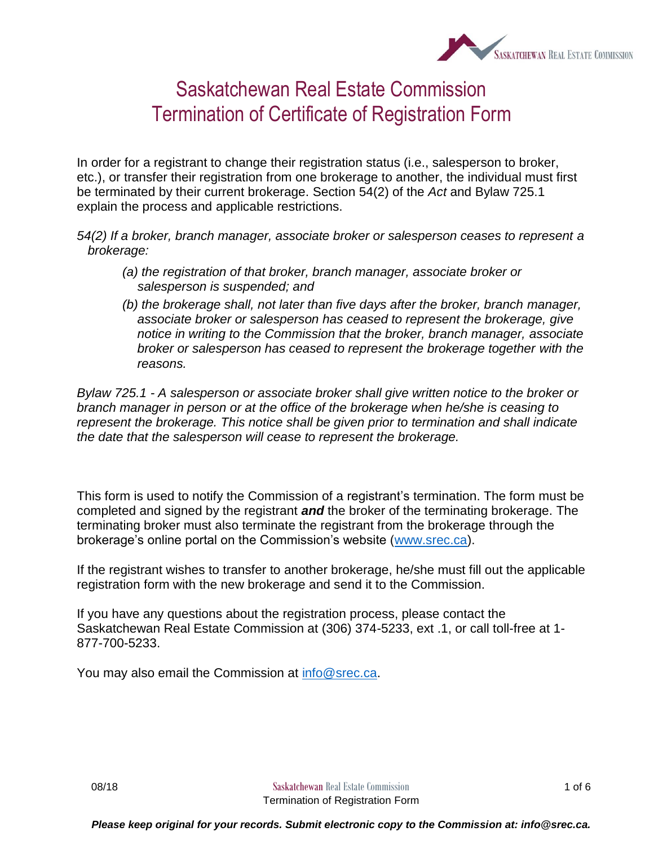

## Saskatchewan Real Estate Commission Termination of Certificate of Registration Form

In order for a registrant to change their registration status (i.e., salesperson to broker, etc.), or transfer their registration from one brokerage to another, the individual must first be terminated by their current brokerage. Section 54(2) of the *Act* and Bylaw 725.1 explain the process and applicable restrictions.

*54(2) If a broker, branch manager, associate broker or salesperson ceases to represent a brokerage:*

- *(a) the registration of that broker, branch manager, associate broker or salesperson is suspended; and*
- *(b) the brokerage shall, not later than five days after the broker, branch manager, associate broker or salesperson has ceased to represent the brokerage, give notice in writing to the Commission that the broker, branch manager, associate broker or salesperson has ceased to represent the brokerage together with the reasons.*

*Bylaw 725.1 - A salesperson or associate broker shall give written notice to the broker or branch manager in person or at the office of the brokerage when he/she is ceasing to represent the brokerage. This notice shall be given prior to termination and shall indicate the date that the salesperson will cease to represent the brokerage.*

This form is used to notify the Commission of a registrant's termination. The form must be completed and signed by the registrant *and* the broker of the terminating brokerage. The terminating broker must also terminate the registrant from the brokerage through the brokerage's online portal on the Commission's website [\(www.srec.ca\)](http://www.srec.ca/).

If the registrant wishes to transfer to another brokerage, he/she must fill out the applicable registration form with the new brokerage and send it to the Commission.

If you have any questions about the registration process, please contact the Saskatchewan Real Estate Commission at (306) 374-5233, ext .1, or call toll-free at 1- 877-700-5233.

You may also email the Commission at [info@srec.ca.](mailto:info@srec.ca)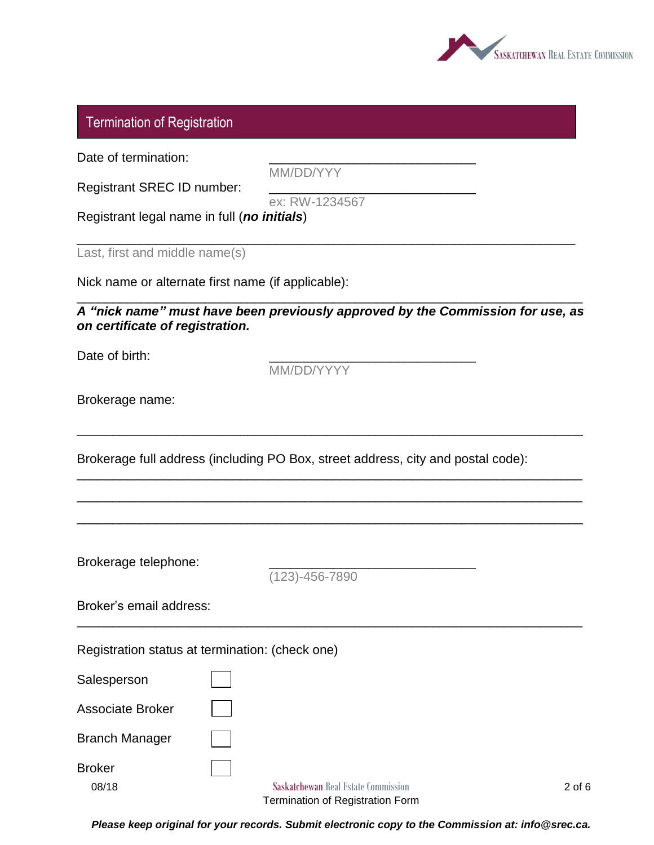

## Termination of Registration

Date of termination:

MM/DD/YYY

Registrant SREC ID number:

ex: RW-1234567

\_\_\_\_\_\_\_\_\_\_\_\_\_\_\_\_\_\_\_\_\_\_\_\_\_\_\_\_\_\_\_\_\_\_\_\_\_\_\_\_\_\_\_\_\_\_\_\_\_\_\_\_\_\_\_\_\_\_\_\_\_\_\_\_\_\_\_\_\_\_

Registrant legal name in full (*no initials*)

Last, first and middle name(s)

Nick name or alternate first name (if applicable):

*A "nick name" must have been previously approved by the Commission for use, as on certificate of registration.*

\_\_\_\_\_\_\_\_\_\_\_\_\_\_\_\_\_\_\_\_\_\_\_\_\_\_\_\_\_\_\_\_\_\_\_\_\_\_\_\_\_\_\_\_\_\_\_\_\_\_\_\_\_\_\_\_\_\_\_\_\_\_\_\_\_\_\_\_\_\_\_

\_\_\_\_\_\_\_\_\_\_\_\_\_\_\_\_\_\_\_\_\_\_\_\_\_\_\_\_\_\_\_\_\_\_\_\_\_\_\_\_\_\_\_\_\_\_\_\_\_\_\_\_\_\_\_\_\_\_\_\_\_\_\_\_\_\_\_\_\_\_\_

\_\_\_\_\_\_\_\_\_\_\_\_\_\_\_\_\_\_\_\_\_\_\_\_\_\_\_\_\_\_\_\_\_\_\_\_\_\_\_\_\_\_\_\_\_\_\_\_\_\_\_\_\_\_\_\_\_\_\_\_\_\_\_\_\_\_\_\_\_\_\_

\_\_\_\_\_\_\_\_\_\_\_\_\_\_\_\_\_\_\_\_\_\_\_\_\_\_\_\_\_\_\_\_\_\_\_\_\_\_\_\_\_\_\_\_\_\_\_\_\_\_\_\_\_\_\_\_\_\_\_\_\_\_\_\_\_\_\_\_\_\_\_

\_\_\_\_\_\_\_\_\_\_\_\_\_\_\_\_\_\_\_\_\_\_\_\_\_\_\_\_\_\_\_\_\_\_\_\_\_\_\_\_\_\_\_\_\_\_\_\_\_\_\_\_\_\_\_\_\_\_\_\_\_\_\_\_\_\_\_\_\_\_\_

\_\_\_\_\_\_\_\_\_\_\_\_\_\_\_\_\_\_\_\_\_\_\_\_\_\_\_\_\_\_\_\_\_\_\_\_\_\_\_\_\_\_\_\_\_\_\_\_\_\_\_\_\_\_\_\_\_\_\_\_\_\_\_\_\_\_\_\_\_\_\_

Date of birth:

MM/DD/YYYY

Brokerage name:

Brokerage full address (including PO Box, street address, city and postal code):

Brokerage telephone:

(123)-456-7890

| Broker's email address: |  |
|-------------------------|--|
|-------------------------|--|

Registration status at termination: (check one)

**Salesperson** 

Associate Broker

Branch Manager

Broker

**08/18 Saskatchewan** Real Estate Commission **2 of 6** Termination of Registration Form

*Please keep original for your records. Submit electronic copy to the Commission at: info@srec.ca.*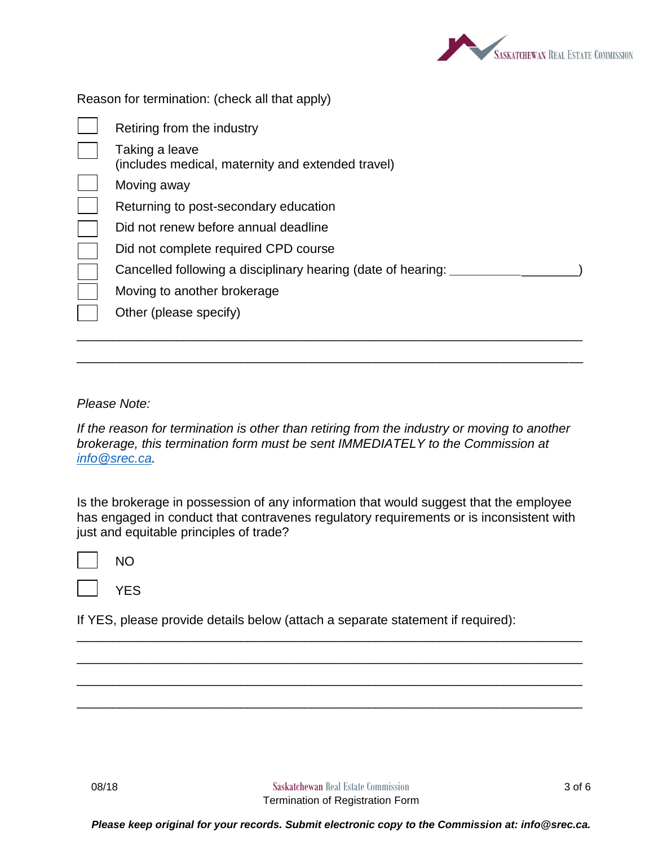

Reason for termination: (check all that apply)

| Retiring from the industry                                          |
|---------------------------------------------------------------------|
| Taking a leave<br>(includes medical, maternity and extended travel) |
| Moving away                                                         |
| Returning to post-secondary education                               |
| Did not renew before annual deadline                                |
| Did not complete required CPD course                                |
| Cancelled following a disciplinary hearing (date of hearing:        |
| Moving to another brokerage                                         |
| Other (please specify)                                              |
|                                                                     |

*Please Note:*

*If the reason for termination is other than retiring from the industry or moving to another brokerage, this termination form must be sent IMMEDIATELY to the Commission at [info@srec.ca.](mailto:info@srec.ca)* 

\_\_\_\_\_\_\_\_\_\_\_\_\_\_\_\_\_\_\_\_\_\_\_\_\_\_\_\_\_\_\_\_\_\_\_\_\_\_\_\_\_\_\_\_\_\_\_\_\_\_\_\_\_\_\_\_\_\_\_\_\_\_\_\_\_\_\_\_\_\_\_

Is the brokerage in possession of any information that would suggest that the employee has engaged in conduct that contravenes regulatory requirements or is inconsistent with just and equitable principles of trade?

\_\_\_\_\_\_\_\_\_\_\_\_\_\_\_\_\_\_\_\_\_\_\_\_\_\_\_\_\_\_\_\_\_\_\_\_\_\_\_\_\_\_\_\_\_\_\_\_\_\_\_\_\_\_\_\_\_\_\_\_\_\_\_\_\_\_\_\_\_\_\_

\_\_\_\_\_\_\_\_\_\_\_\_\_\_\_\_\_\_\_\_\_\_\_\_\_\_\_\_\_\_\_\_\_\_\_\_\_\_\_\_\_\_\_\_\_\_\_\_\_\_\_\_\_\_\_\_\_\_\_\_\_\_\_\_\_\_\_\_\_\_\_

\_\_\_\_\_\_\_\_\_\_\_\_\_\_\_\_\_\_\_\_\_\_\_\_\_\_\_\_\_\_\_\_\_\_\_\_\_\_\_\_\_\_\_\_\_\_\_\_\_\_\_\_\_\_\_\_\_\_\_\_\_\_\_\_\_\_\_\_\_\_\_

\_\_\_\_\_\_\_\_\_\_\_\_\_\_\_\_\_\_\_\_\_\_\_\_\_\_\_\_\_\_\_\_\_\_\_\_\_\_\_\_\_\_\_\_\_\_\_\_\_\_\_\_\_\_\_\_\_\_\_\_\_\_\_\_\_\_\_\_\_\_\_

NO

**YES** 

If YES, please provide details below (attach a separate statement if required):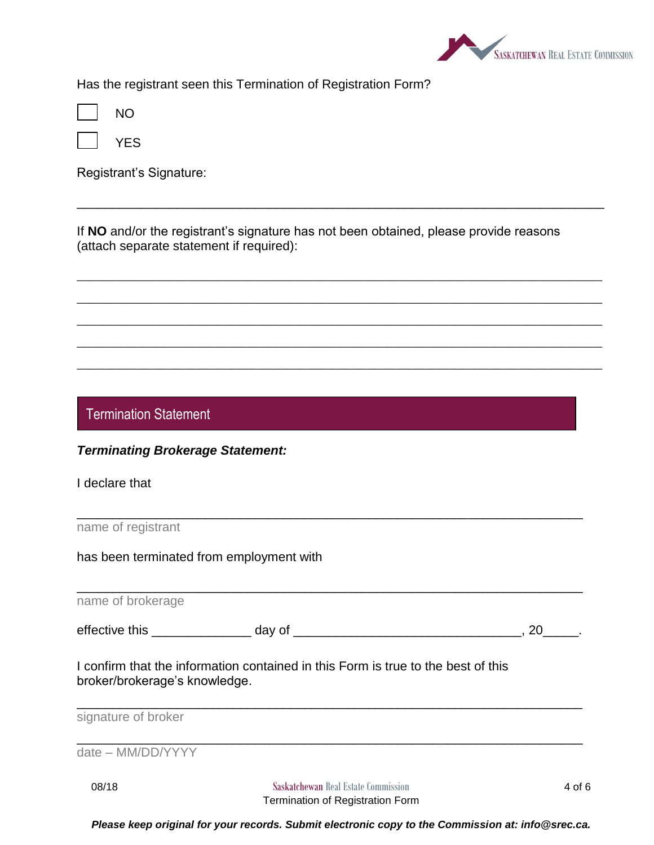

Has the registrant seen this Termination of Registration Form?

|--|--|

YES

Registrant's Signature:

If **NO** and/or the registrant's signature has not been obtained, please provide reasons (attach separate statement if required):

\_\_\_\_\_\_\_\_\_\_\_\_\_\_\_\_\_\_\_\_\_\_\_\_\_\_\_\_\_\_\_\_\_\_\_\_\_\_\_\_\_\_\_\_\_\_\_\_\_\_\_\_\_\_\_\_\_\_\_\_\_\_\_\_\_\_\_\_\_\_\_\_\_\_

\_\_\_\_\_\_\_\_\_\_\_\_\_\_\_\_\_\_\_\_\_\_\_\_\_\_\_\_\_\_\_\_\_\_\_\_\_\_\_\_\_\_\_\_\_\_\_\_\_\_\_\_\_\_\_\_\_\_\_\_\_\_\_\_\_\_\_\_\_\_\_\_\_\_\_\_\_\_\_\_\_\_

\_\_\_\_\_\_\_\_\_\_\_\_\_\_\_\_\_\_\_\_\_\_\_\_\_\_\_\_\_\_\_\_\_\_\_\_\_\_\_\_\_\_\_\_\_\_\_\_\_\_\_\_\_\_\_\_\_\_\_\_\_\_\_\_\_\_\_\_\_\_\_\_\_\_\_\_\_\_\_\_\_\_

\_\_\_\_\_\_\_\_\_\_\_\_\_\_\_\_\_\_\_\_\_\_\_\_\_\_\_\_\_\_\_\_\_\_\_\_\_\_\_\_\_\_\_\_\_\_\_\_\_\_\_\_\_\_\_\_\_\_\_\_\_\_\_\_\_\_\_\_\_\_\_\_\_\_\_\_\_\_\_\_\_\_

\_\_\_\_\_\_\_\_\_\_\_\_\_\_\_\_\_\_\_\_\_\_\_\_\_\_\_\_\_\_\_\_\_\_\_\_\_\_\_\_\_\_\_\_\_\_\_\_\_\_\_\_\_\_\_\_\_\_\_\_\_\_\_\_\_\_\_\_\_\_\_\_\_\_\_\_\_\_\_\_\_\_

\_\_\_\_\_\_\_\_\_\_\_\_\_\_\_\_\_\_\_\_\_\_\_\_\_\_\_\_\_\_\_\_\_\_\_\_\_\_\_\_\_\_\_\_\_\_\_\_\_\_\_\_\_\_\_\_\_\_\_\_\_\_\_\_\_\_\_\_\_\_\_\_\_\_\_\_\_\_\_\_\_\_

Termination Statement

I declare that

name of registrant

has been terminated from employment with

**08/18 Saskatchewan** Real Estate Commission **4 of 6** \_\_\_\_\_\_\_\_\_\_\_\_\_\_\_\_\_\_\_\_\_\_\_\_\_\_\_\_\_\_\_\_\_\_\_\_\_\_\_\_\_\_\_\_\_\_\_\_\_\_\_\_\_\_\_\_\_\_\_\_\_\_\_\_\_\_\_\_\_\_\_ name of brokerage effective this \_\_\_\_\_\_\_\_\_\_\_\_\_\_ day of \_\_\_\_\_\_\_\_\_\_\_\_\_\_\_\_\_\_\_\_\_\_\_\_\_\_\_\_\_\_\_\_, 20\_\_\_\_\_. I confirm that the information contained in this Form is true to the best of this broker/brokerage's knowledge. \_\_\_\_\_\_\_\_\_\_\_\_\_\_\_\_\_\_\_\_\_\_\_\_\_\_\_\_\_\_\_\_\_\_\_\_\_\_\_\_\_\_\_\_\_\_\_\_\_\_\_\_\_\_\_\_\_\_\_\_\_\_\_\_\_\_\_\_\_\_\_ signature of broker \_\_\_\_\_\_\_\_\_\_\_\_\_\_\_\_\_\_\_\_\_\_\_\_\_\_\_\_\_\_\_\_\_\_\_\_\_\_\_\_\_\_\_\_\_\_\_\_\_\_\_\_\_\_\_\_\_\_\_\_\_\_\_\_\_\_\_\_\_\_\_ date – MM/DD/YYYY

\_\_\_\_\_\_\_\_\_\_\_\_\_\_\_\_\_\_\_\_\_\_\_\_\_\_\_\_\_\_\_\_\_\_\_\_\_\_\_\_\_\_\_\_\_\_\_\_\_\_\_\_\_\_\_\_\_\_\_\_\_\_\_\_\_\_\_\_\_\_\_

*Please keep original for your records. Submit electronic copy to the Commission at: info@srec.ca.*

Termination of Registration Form